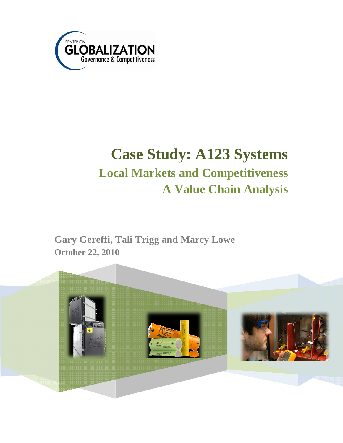

# **Case Study: A123 Systems Local Markets and Competitiveness A Value Chain Analysis**

**Gary Gereffi, Tali Trigg and Marcy Lowe October 22, 2010** 

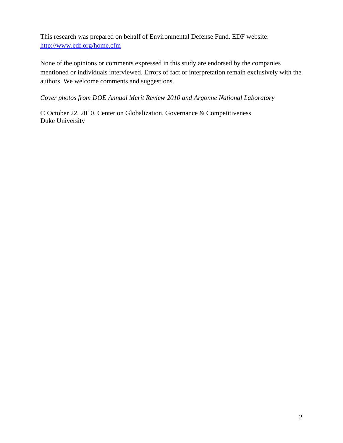This research was prepared on behalf of Environmental Defense Fund. EDF website: http://www.edf.org/home.cfm

None of the opinions or comments expressed in this study are endorsed by the companies mentioned or individuals interviewed. Errors of fact or interpretation remain exclusively with the authors. We welcome comments and suggestions.

#### *Cover photos from DOE Annual Merit Review 2010 and Argonne National Laboratory*

© October 22, 2010. Center on Globalization, Governance & Competitiveness Duke University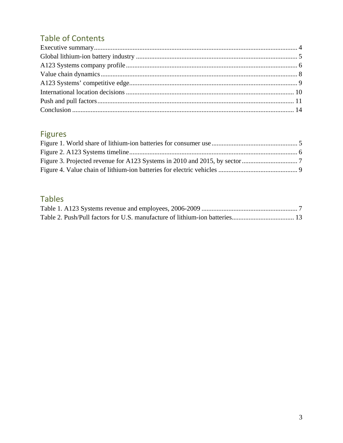# **Table of Contents**

# **Figures**

# **Tables**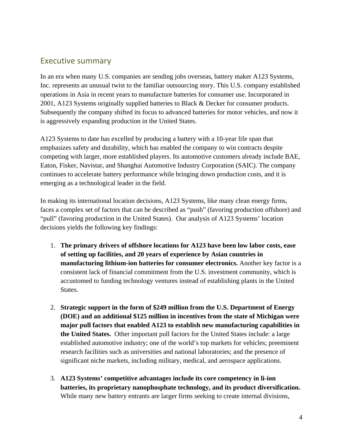### Executive summary

In an era when many U.S. companies are sending jobs overseas, battery maker A123 Systems, Inc. represents an unusual twist to the familiar outsourcing story. This U.S. company established operations in Asia in recent years to manufacture batteries for consumer use. Incorporated in 2001, A123 Systems originally supplied batteries to Black & Decker for consumer products. Subsequently the company shifted its focus to advanced batteries for motor vehicles, and now it is aggressively expanding production in the United States.

A123 Systems to date has excelled by producing a battery with a 10-year life span that emphasizes safety and durability, which has enabled the company to win contracts despite competing with larger, more established players. Its automotive customers already include BAE, Eaton, Fisker, Navistar, and Shanghai Automotive Industry Corporation (SAIC). The company continues to accelerate battery performance while bringing down production costs, and it is emerging as a technological leader in the field.

In making its international location decisions, A123 Systems, like many clean energy firms, faces a complex set of factors that can be described as "push" (favoring production offshore) and "pull" (favoring production in the United States). Our analysis of A123 Systems' location decisions yields the following key findings:

- 1. **The primary drivers of offshore locations for A123 have been low labor costs, ease of setting up facilities, and 20 years of experience by Asian countries in manufacturing lithium-ion batteries for consumer electronics.** Another key factor is a consistent lack of financial commitment from the U.S. investment community, which is accustomed to funding technology ventures instead of establishing plants in the United States.
- 2. **Strategic support in the form of \$249 million from the U.S. Department of Energy (DOE) and an additional \$125 million in incentives from the state of Michigan were major pull factors that enabled A123 to establish new manufacturing capabilities in the United States.** Other important pull factors for the United States include: a large established automotive industry; one of the world's top markets for vehicles; preeminent research facilities such as universities and national laboratories; and the presence of significant niche markets, including military, medical, and aerospace applications.
- 3. **A123 Systems' competitive advantages include its core competency in li-ion batteries, its proprietary nanophosphate technology, and its product diversification.** While many new battery entrants are larger firms seeking to create internal divisions,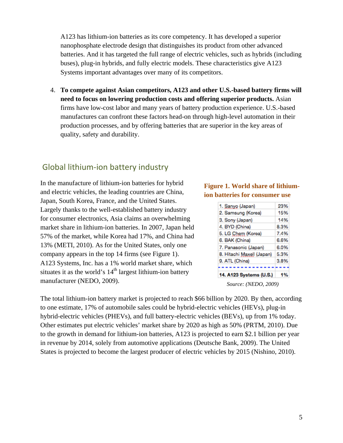A123 has lithium-ion batteries as its core competency. It has developed a superior nanophosphate electrode design that distinguishes its product from other advanced batteries. And it has targeted the full range of electric vehicles, such as hybrids (including buses), plug-in hybrids, and fully electric models. These characteristics give A123 Systems important advantages over many of its competitors.

4. **To compete against Asian competitors, A123 and other U.S.-based battery firms will need to focus on lowering production costs and offering superior products.** Asian firms have low-cost labor and many years of battery production experience. U.S.-based manufactures can confront these factors head-on through high-level automation in their production processes, and by offering batteries that are superior in the key areas of quality, safety and durability.

#### Global lithium‐ion battery industry

In the manufacture of lithium-ion batteries for hybrid and electric vehicles, the leading countries are China, Japan, South Korea, France, and the United States. Largely thanks to the well-established battery industry for consumer electronics, Asia claims an overwhelming market share in lithium-ion batteries. In 2007, Japan held 57% of the market, while Korea had 17%, and China had 13% (METI, 2010). As for the United States, only one company appears in the top 14 firms (see Figure 1). A123 Systems, Inc. has a 1% world market share, which situates it as the world's  $14<sup>th</sup>$  largest lithium-ion battery manufacturer (NEDO, 2009).

#### **Figure 1. World share of lithiumion batteries for consumer use**

| 14, A123 Svstems (U.S.)   | 1%   |
|---------------------------|------|
| 9. ATL (China)            | 3.8% |
| 8. Hitachi Maxell (Japan) | 5.3% |
| 7. Panasonic (Japan)      | 6.0% |
| 6. BAK (China)            | 6.6% |
| 5. LG Chem (Korea)        | 7.4% |
| 4. BYD (China)            | 8.3% |
| 3. Sony (Japan)           | 14%  |
| 2. Samsung (Korea)        | 15%  |
| 1. Sanyo (Japan)          | 23%  |
|                           |      |

*Source: (NEDO, 2009)* 

The total lithium-ion battery market is projected to reach \$66 billion by 2020. By then, according to one estimate, 17% of automobile sales could be hybrid-electric vehicles (HEVs), plug-in hybrid-electric vehicles (PHEVs), and full battery-electric vehicles (BEVs), up from 1% today. Other estimates put electric vehicles' market share by 2020 as high as 50% (PRTM, 2010). Due to the growth in demand for lithium-ion batteries, A123 is projected to earn \$2.1 billion per year in revenue by 2014, solely from automotive applications (Deutsche Bank, 2009). The United States is projected to become the largest producer of electric vehicles by 2015 (Nishino, 2010).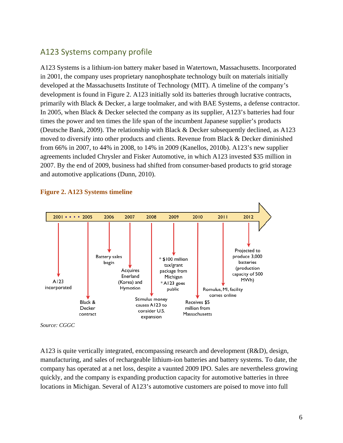## A123 Systems company profile

A123 Systems is a lithium-ion battery maker based in Watertown, Massachusetts. Incorporated in 2001, the company uses proprietary nanophosphate technology built on materials initially developed at the Massachusetts Institute of Technology (MIT). A timeline of the company's development is found in Figure 2. A123 initially sold its batteries through lucrative contracts, primarily with Black & Decker, a large toolmaker, and with BAE Systems, a defense contractor. In 2005, when Black & Decker selected the company as its supplier, A123's batteries had four times the power and ten times the life span of the incumbent Japanese supplier's products (Deutsche Bank, 2009). The relationship with Black & Decker subsequently declined, as A123 moved to diversify into other products and clients. Revenue from Black & Decker diminished from 66% in 2007, to 44% in 2008, to 14% in 2009 (Kanellos, 2010b). A123's new supplier agreements included Chrysler and Fisker Automotive, in which A123 invested \$35 million in 2007. By the end of 2009, business had shifted from consumer-based products to grid storage and automotive applications (Dunn, 2010).



#### **Figure 2. A123 Systems timeline**

A123 is quite vertically integrated, encompassing research and development (R&D), design, manufacturing, and sales of rechargeable lithium-ion batteries and battery systems. To date, the company has operated at a net loss, despite a vaunted 2009 IPO. Sales are nevertheless growing quickly, and the company is expanding production capacity for automotive batteries in three locations in Michigan. Several of A123's automotive customers are poised to move into full

*Source: CGGC*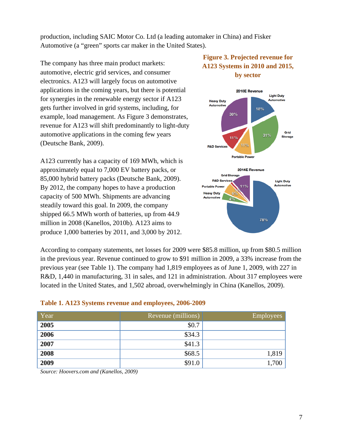production, including SAIC Motor Co. Ltd (a leading automaker in China) and Fisker Automotive (a "green" sports car maker in the United States).

The company has three main product markets: automotive, electric grid services, and consumer electronics. A123 will largely focus on automotive applications in the coming years, but there is potential for synergies in the renewable energy sector if A123 gets further involved in grid systems, including, for example, load management. As Figure 3 demonstrates, revenue for A123 will shift predominantly to light-duty automotive applications in the coming few years (Deutsche Bank, 2009).

A123 currently has a capacity of 169 MWh, which is approximately equal to 7,000 EV battery packs, or 85,000 hybrid battery packs (Deutsche Bank, 2009). By 2012, the company hopes to have a production capacity of 500 MWh. Shipments are advancing steadily toward this goal. In 2009, the company shipped 66.5 MWh worth of batteries, up from 44.9 million in 2008 (Kanellos, 2010b). A123 aims to produce 1,000 batteries by 2011, and 3,000 by 2012.

#### **Figure 3. Projected revenue for A123 Systems in 2010 and 2015, by sector**



According to company statements, net losses for 2009 were \$85.8 million, up from \$80.5 million in the previous year. Revenue continued to grow to \$91 million in 2009, a 33% increase from the previous year (see Table 1). The company had 1,819 employees as of June 1, 2009, with 227 in R&D, 1,440 in manufacturing, 31 in sales, and 121 in administration. About 317 employees were located in the United States, and 1,502 abroad, overwhelmingly in China (Kanellos, 2009).

#### **Table 1. A123 Systems revenue and employees, 2006-2009**

| Year | Revenue (millions) | <b>Employees</b> |
|------|--------------------|------------------|
| 2005 | \$0.7              |                  |
| 2006 | \$34.3             |                  |
| 2007 | \$41.3             |                  |
| 2008 | \$68.5             | 1,819            |
| 2009 | \$91.0             | 1,700            |

*Source: Hoovers.com and (Kanellos, 2009)*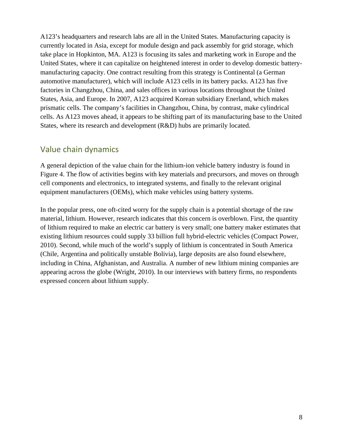A123's headquarters and research labs are all in the United States. Manufacturing capacity is currently located in Asia, except for module design and pack assembly for grid storage, which take place in Hopkinton, MA. A123 is focusing its sales and marketing work in Europe and the United States, where it can capitalize on heightened interest in order to develop domestic batterymanufacturing capacity. One contract resulting from this strategy is Continental (a German automotive manufacturer), which will include A123 cells in its battery packs. A123 has five factories in Changzhou, China, and sales offices in various locations throughout the United States, Asia, and Europe. In 2007, A123 acquired Korean subsidiary Enerland, which makes prismatic cells. The company's facilities in Changzhou, China, by contrast, make cylindrical cells. As A123 moves ahead, it appears to be shifting part of its manufacturing base to the United States, where its research and development (R&D) hubs are primarily located.

# Value chain dynamics

A general depiction of the value chain for the lithium-ion vehicle battery industry is found in Figure 4. The flow of activities begins with key materials and precursors, and moves on through cell components and electronics, to integrated systems, and finally to the relevant original equipment manufacturers (OEMs), which make vehicles using battery systems.

In the popular press, one oft-cited worry for the supply chain is a potential shortage of the raw material, lithium. However, research indicates that this concern is overblown. First, the quantity of lithium required to make an electric car battery is very small; one battery maker estimates that existing lithium resources could supply 33 billion full hybrid-electric vehicles (Compact Power, 2010). Second, while much of the world's supply of lithium is concentrated in South America (Chile, Argentina and politically unstable Bolivia), large deposits are also found elsewhere, including in China, Afghanistan, and Australia. A number of new lithium mining companies are appearing across the globe (Wright, 2010). In our interviews with battery firms, no respondents expressed concern about lithium supply.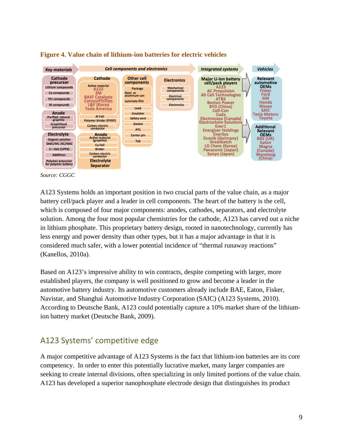

#### **Figure 4. Value chain of lithium-ion batteries for electric vehicles**



A123 Systems holds an important position in two crucial parts of the value chain, as a major battery cell/pack player and a leader in cell components. The heart of the battery is the cell, which is composed of four major components: anodes, cathodes, separators, and electrolyte solution. Among the four most popular chemistries for the cathode, A123 has carved out a niche in lithium phosphate. This proprietary battery design, rooted in nanotechnology, currently has less energy and power density than other types, but it has a major advantage in that it is considered much safer, with a lower potential incidence of "thermal runaway reactions" (Kanellos, 2010a).

Based on A123's impressive ability to win contracts, despite competing with larger, more established players, the company is well positioned to grow and become a leader in the automotive battery industry. Its automotive customers already include BAE, Eaton, Fisker, Navistar, and Shanghai Automotive Industry Corporation (SAIC) (A123 Systems, 2010). According to Deutsche Bank, A123 could potentially capture a 10% market share of the lithiumion battery market (Deutsche Bank, 2009).

# A123 Systems' competitive edge

A major competitive advantage of A123 Systems is the fact that lithium-ion batteries are its core competency. In order to enter this potentially lucrative market, many larger companies are seeking to create internal divisions, often specializing in only limited portions of the value chain. A123 has developed a superior nanophosphate electrode design that distinguishes its product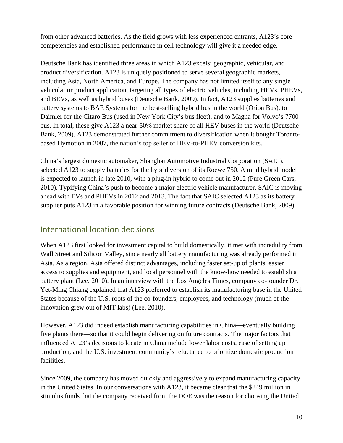from other advanced batteries. As the field grows with less experienced entrants, A123's core competencies and established performance in cell technology will give it a needed edge.

Deutsche Bank has identified three areas in which A123 excels: geographic, vehicular, and product diversification. A123 is uniquely positioned to serve several geographic markets, including Asia, North America, and Europe. The company has not limited itself to any single vehicular or product application, targeting all types of electric vehicles, including HEVs, PHEVs, and BEVs, as well as hybrid buses (Deutsche Bank, 2009). In fact, A123 supplies batteries and battery systems to BAE Systems for the best-selling hybrid bus in the world (Orion Bus), to Daimler for the Citaro Bus (used in New York City's bus fleet), and to Magna for Volvo's 7700 bus. In total, these give A123 a near-50% market share of all HEV buses in the world (Deutsche Bank, 2009). A123 demonstrated further commitment to diversification when it bought Torontobased Hymotion in 2007, the nation's top seller of HEV-to-PHEV conversion kits.

China's largest domestic automaker, Shanghai Automotive Industrial Corporation (SAIC), selected A123 to supply batteries for the hybrid version of its Roewe 750. A mild hybrid model is expected to launch in late 2010, with a plug-in hybrid to come out in 2012 (Pure Green Cars, 2010). Typifying China's push to become a major electric vehicle manufacturer, SAIC is moving ahead with EVs and PHEVs in 2012 and 2013. The fact that SAIC selected A123 as its battery supplier puts A123 in a favorable position for winning future contracts (Deutsche Bank, 2009).

## International location decisions

When A123 first looked for investment capital to build domestically, it met with incredulity from Wall Street and Silicon Valley, since nearly all battery manufacturing was already performed in Asia. As a region, Asia offered distinct advantages, including faster set-up of plants, easier access to supplies and equipment, and local personnel with the know-how needed to establish a battery plant (Lee, 2010). In an interview with the Los Angeles Times, company co-founder Dr. Yet-Ming Chiang explained that A123 preferred to establish its manufacturing base in the United States because of the U.S. roots of the co-founders, employees, and technology (much of the innovation grew out of MIT labs) (Lee, 2010).

However, A123 did indeed establish manufacturing capabilities in China—eventually building five plants there—so that it could begin delivering on future contracts. The major factors that influenced A123's decisions to locate in China include lower labor costs, ease of setting up production, and the U.S. investment community's reluctance to prioritize domestic production facilities.

Since 2009, the company has moved quickly and aggressively to expand manufacturing capacity in the United States. In our conversations with A123, it became clear that the \$249 million in stimulus funds that the company received from the DOE was the reason for choosing the United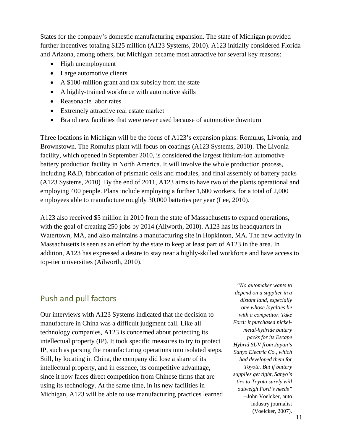States for the company's domestic manufacturing expansion. The state of Michigan provided further incentives totaling \$125 million (A123 Systems, 2010). A123 initially considered Florida and Arizona, among others, but Michigan became most attractive for several key reasons:

- High unemployment
- Large automotive clients
- A \$100-million grant and tax subsidy from the state
- A highly-trained workforce with automotive skills
- Reasonable labor rates
- Extremely attractive real estate market
- Brand new facilities that were never used because of automotive downturn

Three locations in Michigan will be the focus of A123's expansion plans: Romulus, Livonia, and Brownstown. The Romulus plant will focus on coatings (A123 Systems, 2010). The Livonia facility, which opened in September 2010, is considered the largest lithium-ion automotive battery production facility in North America. It will involve the whole production process, including R&D, fabrication of prismatic cells and modules, and final assembly of battery packs (A123 Systems, 2010). By the end of 2011, A123 aims to have two of the plants operational and employing 400 people. Plans include employing a further 1,600 workers, for a total of 2,000 employees able to manufacture roughly 30,000 batteries per year (Lee, 2010).

A123 also received \$5 million in 2010 from the state of Massachusetts to expand operations, with the goal of creating 250 jobs by 2014 (Ailworth, 2010). A123 has its headquarters in Watertown, MA, and also maintains a manufacturing site in Hopkinton, MA. The new activity in Massachusetts is seen as an effort by the state to keep at least part of A123 in the area. In addition, A123 has expressed a desire to stay near a highly-skilled workforce and have access to top-tier universities (Ailworth, 2010).

#### Push and pull factors

Our interviews with A123 Systems indicated that the decision to manufacture in China was a difficult judgment call. Like all technology companies, A123 is concerned about protecting its intellectual property (IP). It took specific measures to try to protect IP, such as parsing the manufacturing operations into isolated steps. Still, by locating in China, the company did lose a share of its intellectual property, and in essence, its competitive advantage, since it now faces direct competition from Chinese firms that are using its technology. At the same time, in its new facilities in Michigan, A123 will be able to use manufacturing practices learned

*"No automaker wants to depend on a supplier in a distant land, especially one whose loyalties lie with a competitor. Take Ford: it purchased nickelmetal-hydride battery packs for its Escape Hybrid SUV from Japan's Sanyo Electric Co., which had developed them for Toyota. But if battery supplies get tight, Sanyo's ties to Toyota surely will outweigh Ford's needs"* --John Voelcker, auto industry journalist (Voelcker, 2007).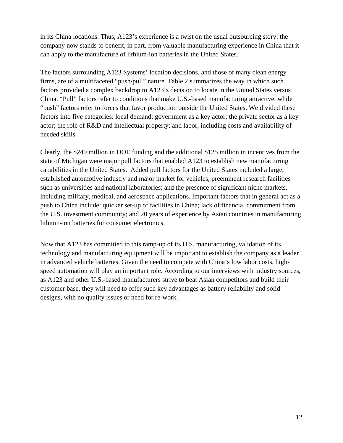in its China locations. Thus, A123's experience is a twist on the usual outsourcing story: the company now stands to benefit, in part, from valuable manufacturing experience in China that it can apply to the manufacture of lithium-ion batteries in the United States.

The factors surrounding A123 Systems' location decisions, and those of many clean energy firms, are of a multifaceted "push/pull" nature. Table 2 summarizes the way in which such factors provided a complex backdrop to A123's decision to locate in the United States versus China. "Pull" factors refer to conditions that make U.S.-based manufacturing attractive, while "push" factors refer to forces that favor production outside the United States. We divided these factors into five categories: local demand; government as a key actor; the private sector as a key actor; the role of R&D and intellectual property; and labor, including costs and availability of needed skills.

Clearly, the \$249 million in DOE funding and the additional \$125 million in incentives from the state of Michigan were major pull factors that enabled A123 to establish new manufacturing capabilities in the United States. Added pull factors for the United States included a large, established automotive industry and major market for vehicles, preeminent research facilities such as universities and national laboratories; and the presence of significant niche markets, including military, medical, and aerospace applications. Important factors that in general act as a push to China include: quicker set-up of facilities in China; lack of financial commitment from the U.S. investment community; and 20 years of experience by Asian countries in manufacturing lithium-ion batteries for consumer electronics.

Now that A123 has committed to this ramp-up of its U.S. manufacturing, validation of its technology and manufacturing equipment will be important to establish the company as a leader in advanced vehicle batteries. Given the need to compete with China's low labor costs, highspeed automation will play an important role. According to our interviews with industry sources, as A123 and other U.S.-based manufacturers strive to beat Asian competitors and build their customer base, they will need to offer such key advantages as battery reliability and solid designs, with no quality issues or need for re-work.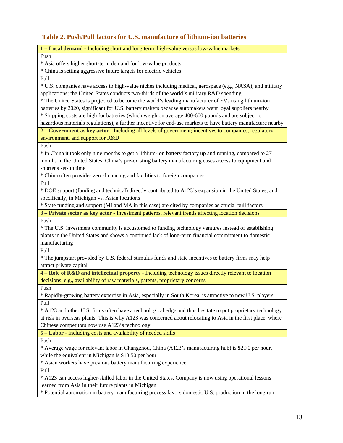#### **Table 2. Push/Pull factors for U.S. manufacture of lithium-ion batteries**

| 1 - Local demand - Including short and long term; high-value versus low-value markets                         |
|---------------------------------------------------------------------------------------------------------------|
| Push                                                                                                          |
| * Asia offers higher short-term demand for low-value products                                                 |
| * China is setting aggressive future targets for electric vehicles                                            |
| Pull                                                                                                          |
| * U.S. companies have access to high-value niches including medical, aerospace (e.g., NASA), and military     |
| applications; the United States conducts two-thirds of the world's military R&D spending                      |
| * The United States is projected to become the world's leading manufacturer of EVs using lithium-ion          |
| batteries by 2020, significant for U.S. battery makers because automakers want loyal suppliers nearby         |
| * Shipping costs are high for batteries (which weigh on average 400-600 pounds and are subject to             |
| hazardous materials regulations), a further incentive for end-use markets to have battery manufacture nearby  |
| 2 - Government as key actor - Including all levels of government; incentives to companies, regulatory         |
| environment, and support for R&D                                                                              |
| Push                                                                                                          |
| * In China it took only nine months to get a lithium-ion battery factory up and running, compared to 27       |
| months in the United States. China's pre-existing battery manufacturing eases access to equipment and         |
| shortens set-up time                                                                                          |
| * China often provides zero-financing and facilities to foreign companies                                     |
|                                                                                                               |
| Pull                                                                                                          |
| * DOE support (funding and technical) directly contributed to A123's expansion in the United States, and      |
| specifically, in Michigan vs. Asian locations                                                                 |
| * State funding and support (MI and MA in this case) are cited by companies as crucial pull factors           |
| 3 - Private sector as key actor - Investment patterns, relevant trends affecting location decisions           |
| Push                                                                                                          |
| * The U.S. investment community is accustomed to funding technology ventures instead of establishing          |
| plants in the United States and shows a continued lack of long-term financial commitment to domestic          |
| manufacturing                                                                                                 |
| Pull                                                                                                          |
| * The jumpstart provided by U.S. federal stimulus funds and state incentives to battery firms may help        |
| attract private capital                                                                                       |
| 4 – Role of R&D and intellectual property - Including technology issues directly relevant to location         |
| decisions, e.g., availability of raw materials, patents, proprietary concerns                                 |
| Push                                                                                                          |
| * Rapidly-growing battery expertise in Asia, especially in South Korea, is attractive to new U.S. players     |
| Pull                                                                                                          |
| * A123 and other U.S. firms often have a technological edge and thus hesitate to put proprietary technology   |
| at risk in overseas plants. This is why A123 was concerned about relocating to Asia in the first place, where |
| Chinese competitors now use A123's technology                                                                 |
| 5 - Labor - Including costs and availability of needed skills                                                 |
| Push                                                                                                          |
| * Average wage for relevant labor in Changzhou, China (A123's manufacturing hub) is \$2.70 per hour,          |
| while the equivalent in Michigan is \$13.50 per hour                                                          |
|                                                                                                               |
| * Asian workers have previous battery manufacturing experience                                                |
| Pull                                                                                                          |
| * A123 can access higher-skilled labor in the United States. Company is now using operational lessons         |
| learned from Asia in their future plants in Michigan                                                          |
| * Potential automation in battery manufacturing process favors domestic U.S. production in the long run       |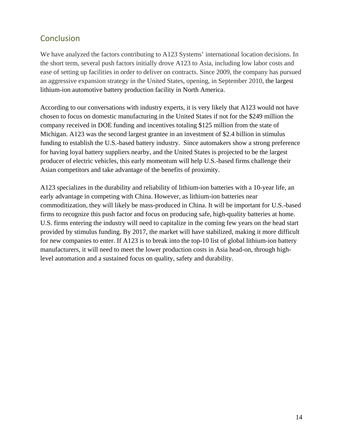# **Conclusion**

We have analyzed the factors contributing to A123 Systems' international location decisions. In the short term, several push factors initially drove A123 to Asia, including low labor costs and ease of setting up facilities in order to deliver on contracts. Since 2009, the company has pursued an aggressive expansion strategy in the United States, opening, in September 2010, the largest lithium-ion automotive battery production facility in North America.

According to our conversations with industry experts, it is very likely that A123 would not have chosen to focus on domestic manufacturing in the United States if not for the \$249 million the company received in DOE funding and incentives totaling \$125 million from the state of Michigan. A123 was the second largest grantee in an investment of \$2.4 billion in stimulus funding to establish the U.S.-based battery industry. Since automakers show a strong preference for having loyal battery suppliers nearby, and the United States is projected to be the largest producer of electric vehicles, this early momentum will help U.S.-based firms challenge their Asian competitors and take advantage of the benefits of proximity.

A123 specializes in the durability and reliability of lithium-ion batteries with a 10-year life, an early advantage in competing with China. However, as lithium-ion batteries near commoditization, they will likely be mass-produced in China. It will be important for U.S.-based firms to recognize this push factor and focus on producing safe, high-quality batteries at home. U.S. firms entering the industry will need to capitalize in the coming few years on the head start provided by stimulus funding. By 2017, the market will have stabilized, making it more difficult for new companies to enter. If A123 is to break into the top-10 list of global lithium-ion battery manufacturers, it will need to meet the lower production costs in Asia head-on, through highlevel automation and a sustained focus on quality, safety and durability.